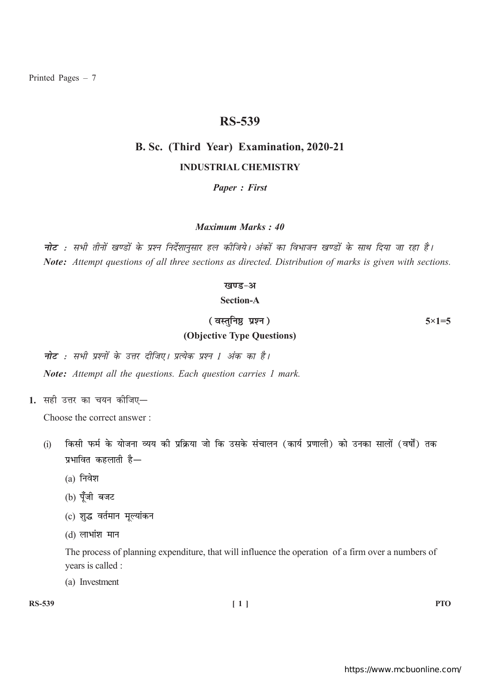Printed Pages  $-7$ 

# **RS-539**

# B. Sc. (Third Year) Examination, 2020-21 **INDUSTRIAL CHEMISTRY**

**Paper: First** 

Maximum Marks · 40

नोट : सभी तीनों खण्डों के प्रश्न निर्देशानुसार हल कीजिये। अंकों का विभाजन खण्डों के साथ दिया जा रहा है। Note: Attempt questions of all three sections as directed. Distribution of marks is given with sections.

#### खण्ड-अ

**Section-A** 

(वस्तुनिष्ठ प्रश्न) (Objective Type Questions)  $5 \times 1 = 5$ 

**नोट** : सभी प्रश्नों के उत्तर दीजिए। प्रत्येक प्रश्न <u>1</u> अंक का है। Note: Attempt all the questions. Each question carries 1 mark.

1. सही उत्तर का चयन कीजिए-

Choose the correct answer:

- किसी फर्म के योजना व्यय की प्रक्रिया जो कि उसके संचालन (कार्य प्रणाली) को उनका सालों (वर्षों) तक  $(i)$ प्रभावित कहलाती है—
	- $(a)$  निवेश
	- (b) पूँजी बजट
	- (c) शुद्ध वर्तमान मूल्यांकन
	- $(d)$  लाभांश मान

The process of planning expenditure, that will influence the operation of a firm over a numbers of years is called :

(a) Investment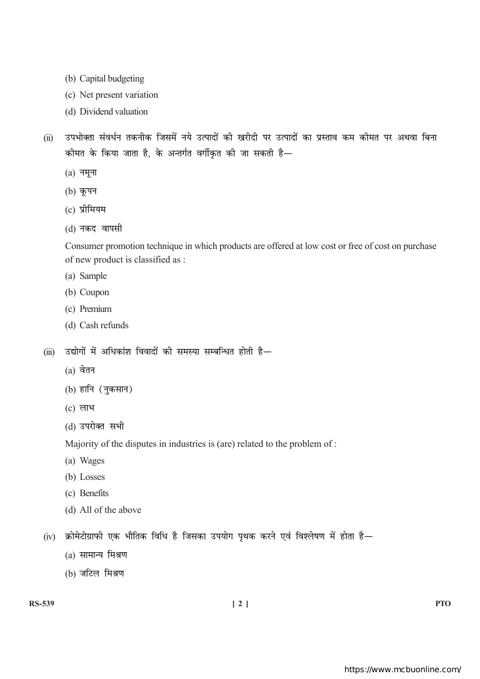- (b) Capital budgeting
- (c) Net present variation
- (d) Dividend valuation
- उपभोक्ता संवर्धन तकनीक जिसमें नये उत्पादों की खरीदी पर उत्पादों का प्रस्ताव कम कीमत पर अथवा बिना  $(ii)$ कीमत के किया जाता है, के अन्तर्गत वर्गीकृत की जा सकती है—
	- $(a)$  नमूना
	- (b) कृपन
	- $(c)$  प्रीमियम
	- (d) नकद वापसी

Consumer promotion technique in which products are offered at low cost or free of cost on purchase of new product is classified as :

- (a) Sample
- (b) Coupon
- (c) Premium
- (d) Cash refunds
- उद्योगों में अधिकांश विवादों की समस्या सम्बन्धित होती है—  $(iii)$ 
	- $(a)$  वेतन
	- (b) हानि (नुकसान)
	- $(c)$  लाभ
	- (d) उपरोक्त सभी

Majority of the disputes in industries is (are) related to the problem of :

- (a) Wages
- (b) Losses
- (c) Benefits
- (d) All of the above

(iv) क्रोमेटोग्राफी एक भौतिक विधि है जिसका उपयोग पथक करने एवं विश्लेषण में होता है—

- $(a)$  सामान्य मिश्रण
- (b) जटिल मिश्रण

**PTO**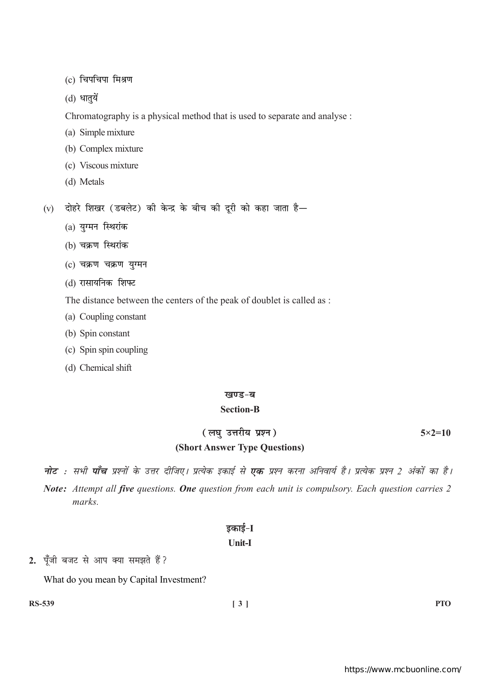(c) चिपचिपा मिश्रण

 $(d)$  धातुयें

Chromatography is a physical method that is used to separate and analyse :

(a) Simple mixture

(b) Complex mixture

- (c) Viscous mixture
- (d) Metals

(v) दोहरे शिखर (डबलेट) की केन्द्र के बीच की दूरी को कहा जाता है-

- (a) युग्मन स्थिरांक
- (b) चक्रण स्थिरांक
- (c) चक्रण चक्रण युग्मन
- (d) रासायनिक शिफ्ट

The distance between the centers of the peak of doublet is called as :

- (a) Coupling constant
- (b) Spin constant
- (c) Spin spin coupling
- (d) Chemical shift

## खण्ड-ब

## **Section-B**

# (लघु उत्तरीय प्रश्न) (Short Answer Type Questions)

 $5 \times 2 = 10$ 

**नोट** : सभी **पाँच** प्रश्नों के उत्तर दीजिए। प्रत्येक इकाई से **एक** प्रश्न करना अनिवार्य है। प्रत्येक प्रश्न 2 अंकों का है। Note: Attempt all five questions. One question from each unit is compulsory. Each question carries 2 marks.

# इकाई-I Unit-I

# 2. पूँजी बजट से आप क्या समझते हैं?

What do you mean by Capital Investment?

**RS-539** 

**PTO**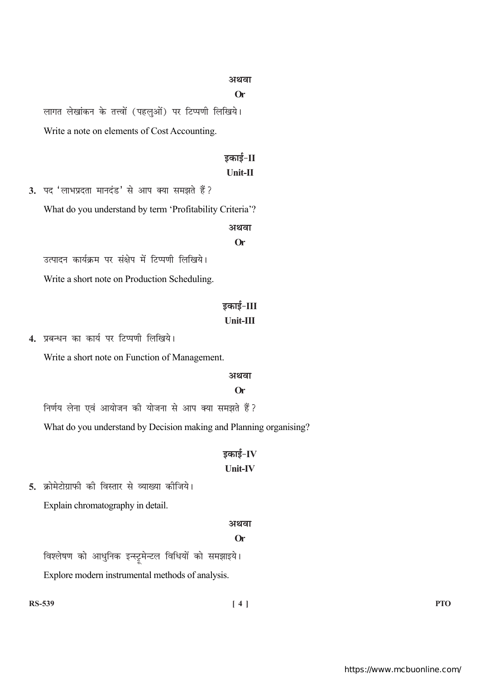#### अथवा

#### $Or$

लागत लेखांकन के तत्त्वों (पहलुओं) पर टिप्पणी लिखिये। Write a note on elements of Cost Accounting.

# डकाई-II

# Unit-II

3. पद 'लाभप्रदता मानदंड' से आप क्या समझते हैं ? What do you understand by term 'Profitability Criteria'? अथवा  $Or$ उत्पादन कार्यक्रम पर संक्षेप में टिप्पणी लिखिये।

Write a short note on Production Scheduling.

# डकाई-III Unit-III

4. प्रबन्धन का कार्य पर टिप्पणी लिखिये।

Write a short note on Function of Management.

#### अथवा

#### **Or**

निर्णय लेना एवं आयोजन की योजना से आप क्या समझते हैं ?

What do you understand by Decision making and Planning organising?

# डकाई- $IV$ **Unit-IV**

5. क्रोमेटोग्राफी की विस्तार से व्याख्या कीजिये। Explain chromatography in detail.

#### अथवा

#### **Or**

विश्लेषण को आधुनिक इन्स्ट्रूमेन्टल विधियों को समझाइये। Explore modern instrumental methods of analysis.

**PTO**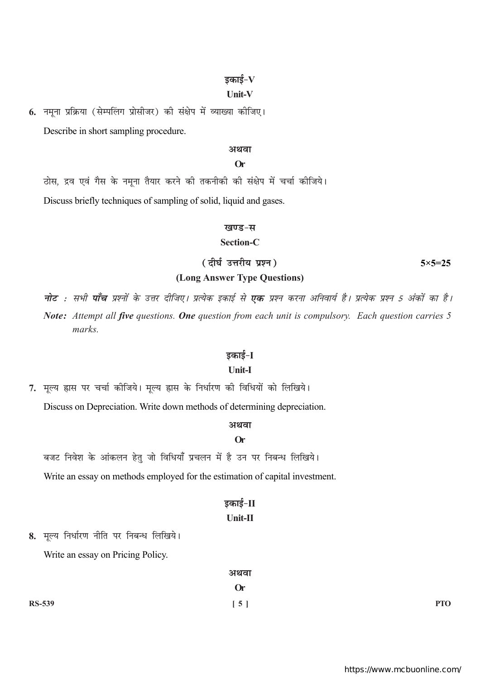## डकाई– ${\bf V}$

## **Unit-V**

6. नमूना प्रक्रिया (सेम्पलिंग प्रोसीजर) की संक्षेप में व्याख्या कीजिए। Describe in short sampling procedure.

#### अथवा

#### $Or$

ठोस, द्रव एवं गैस के नमना तैयार करने की तकनीकी की संक्षेप में चर्चा कीजिये।

Discuss briefly techniques of sampling of solid, liquid and gases.

#### खण्ड-स

#### Section-C

(दीर्घ उत्तरीय प्रश्न)

 $5 \times 5 = 25$ 

#### (Long Answer Type Questions)

**नोट** : सभी **पाँच** प्रश्नों के उत्तर दीजिए। प्रत्येक इकाई से **एक** प्रश्न करना अनिवार्य है। प्रत्येक प्रश्न 5 अंकों का है। Note: Attempt all five questions. One question from each unit is compulsory. Each question carries 5 marks.

#### इकाई-I

## **Unit-I**

7. मूल्य ह्रास पर चर्चा कीजिये। मूल्य ह्रास के निर्धारण की विधियों को लिखिये।

Discuss on Depreciation. Write down methods of determining depreciation.

#### अथवा

## $Or$

बजट निवेश के आंकलन हेतु जो विधियाँ प्रचलन में है उन पर निबन्ध लिखिये।

Write an essay on methods employed for the estimation of capital investment.

# डकाई-II

# $\overline{\text{Unit-II}}$

8. मृल्य निर्धारण नीति पर निबन्ध लिखिये।

Write an essay on Pricing Policy.

|               | अथवा               |            |
|---------------|--------------------|------------|
|               | <b>Or</b>          |            |
| <b>RS-539</b> | $\left[ 5 \right]$ | <b>PTO</b> |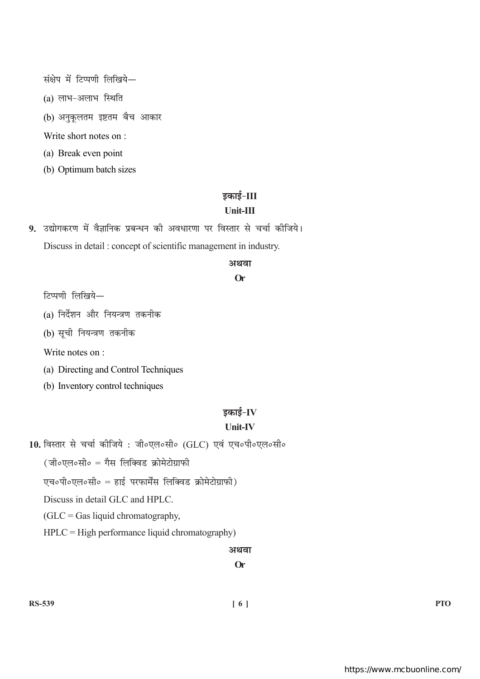संक्षेप में टिप्पणी लिखिये-

(a) लाभ-अलाभ स्थिति

(b) अनुकूलतम इष्टतम बैच आकार

Write short notes on :

(a) Break even point

(b) Optimum batch sizes

# डकाई-III

# $Unit-III$

9. उद्योगकरण में वैज्ञानिक प्रबन्धन की अवधारणा पर विस्तार से चर्चा कीजिये। Discuss in detail: concept of scientific management in industry.

#### अथवा

## **Or**

टिप्पणी लिखिये-

(a) निर्देशन और नियन्त्रण तकनीक

(b) सूची नियन्त्रण तकनीक

Write notes on :

(a) Directing and Control Techniques

(b) Inventory control techniques

# इकाई- $IV$

## **Unit-IV**

10. विस्तार से चर्चा कीजिये : जी०एल०सी० (GLC) एवं एच०पी०एल०सी०

(जी०एल०सी० = गैस लिक्विड क्रोमेटोग्राफी

एच॰पी॰एल॰सी॰ = हाई परफार्मेंस लिक्विड क्रोमेटोग्राफी)

Discuss in detail GLC and HPLC.

 $(GLC = Gas liquid chromatography,$ 

 $HPLC = High performance liquid chromatography)$ 

## अथवा

**Or**